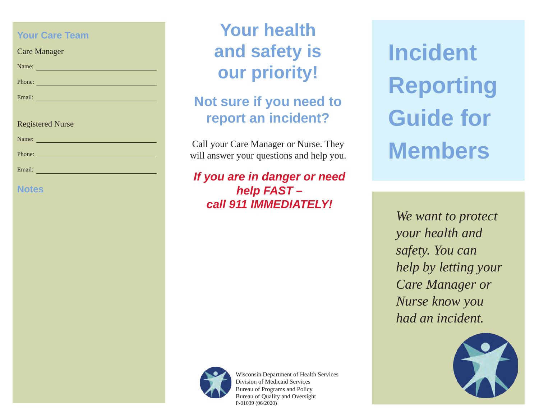### **Your Care Team**

| Care Manager |  |
|--------------|--|
|--------------|--|

| Phone: |  |
|--------|--|

Email:

Name:

#### Registered Nurse

Phone: The Contract of the Contract of the Contract of the Contract of the Contract of the Contract of the Contract of the Contract of the Contract of the Contract of the Contract of the Contract of the Contract of the Con

| Name: |
|-------|
|-------|

Email:

### **Notes**

# **Your health and safety is our priority!**

## **Not sure if you need to report an incident?**

Call your Care Manager or Nurse. They will answer your questions and help you.

*If you are in danger or need help FAST – call 911 IMMEDIATELY!*

**Incident Reporting Guide for Members**

*We want to protect your health and safety. You can help by letting your Care Manager or Nurse know you had an incident.*





Wisconsin Department of Health Services Division of Medicaid Services Bureau of Programs and Policy Bureau of Quality and Oversight P-01039 (06/2020)